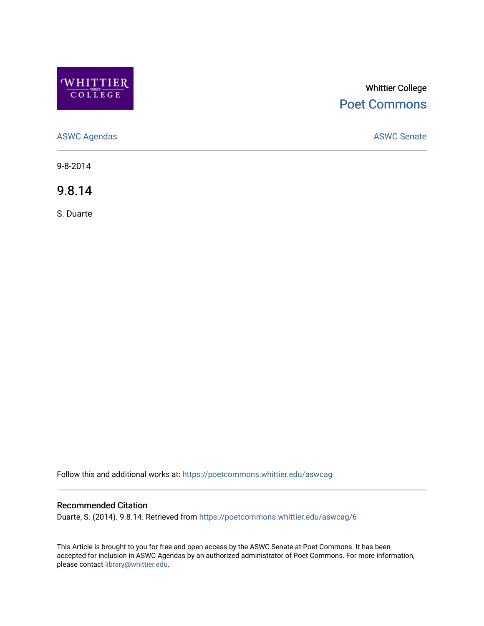

# Whittier College [Poet Commons](https://poetcommons.whittier.edu/)

[ASWC Agendas](https://poetcommons.whittier.edu/aswcag) **ASWC Senate** 

9-8-2014

9.8.14

S. Duarte

Follow this and additional works at: [https://poetcommons.whittier.edu/aswcag](https://poetcommons.whittier.edu/aswcag?utm_source=poetcommons.whittier.edu%2Faswcag%2F6&utm_medium=PDF&utm_campaign=PDFCoverPages) 

# Recommended Citation

Duarte, S. (2014). 9.8.14. Retrieved from [https://poetcommons.whittier.edu/aswcag/6](https://poetcommons.whittier.edu/aswcag/6?utm_source=poetcommons.whittier.edu%2Faswcag%2F6&utm_medium=PDF&utm_campaign=PDFCoverPages) 

This Article is brought to you for free and open access by the ASWC Senate at Poet Commons. It has been accepted for inclusion in ASWC Agendas by an authorized administrator of Poet Commons. For more information, please contact [library@whittier.edu](mailto:library@whittier.edu).